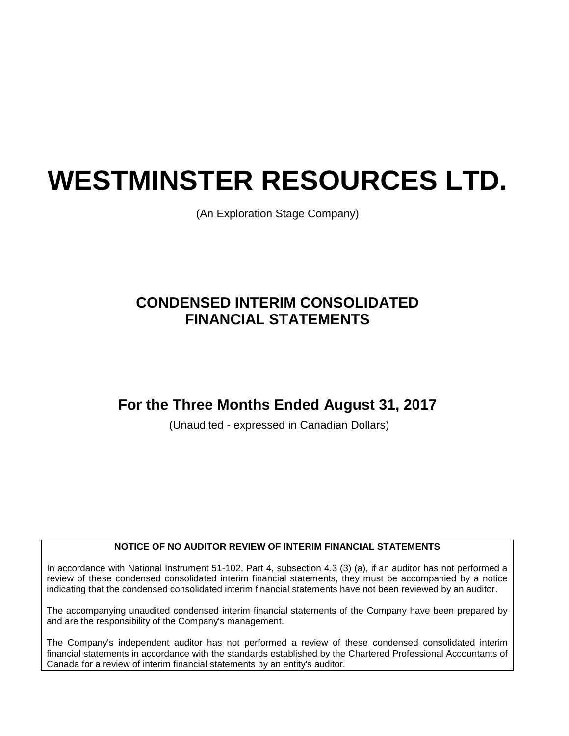# **WESTMINSTER RESOURCES LTD.**

(An Exploration Stage Company)

# **CONDENSED INTERIM CONSOLIDATED FINANCIAL STATEMENTS**

# **For the Three Months Ended August 31, 2017**

(Unaudited - expressed in Canadian Dollars)

### **NOTICE OF NO AUDITOR REVIEW OF INTERIM FINANCIAL STATEMENTS**

In accordance with National Instrument 51-102, Part 4, subsection 4.3 (3) (a), if an auditor has not performed a review of these condensed consolidated interim financial statements, they must be accompanied by a notice indicating that the condensed consolidated interim financial statements have not been reviewed by an auditor.

The accompanying unaudited condensed interim financial statements of the Company have been prepared by and are the responsibility of the Company's management.

The Company's independent auditor has not performed a review of these condensed consolidated interim financial statements in accordance with the standards established by the Chartered Professional Accountants of Canada for a review of interim financial statements by an entity's auditor.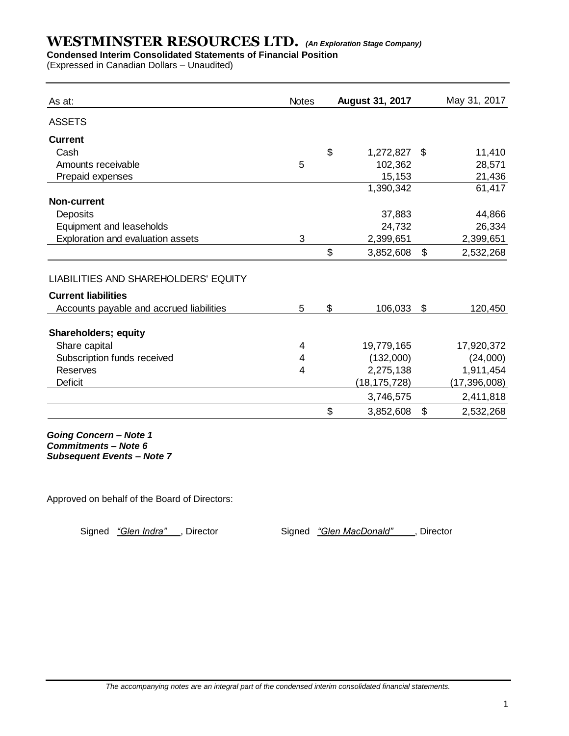### **Condensed Interim Consolidated Statements of Financial Position**

(Expressed in Canadian Dollars – Unaudited)

| As at:                                   | <b>Notes</b> | <b>August 31, 2017</b> | May 31, 2017    |
|------------------------------------------|--------------|------------------------|-----------------|
| <b>ASSETS</b>                            |              |                        |                 |
| <b>Current</b>                           |              |                        |                 |
| Cash                                     |              | \$<br>1,272,827        | \$<br>11,410    |
| Amounts receivable                       | 5            | 102,362                | 28,571          |
| Prepaid expenses                         |              | 15,153                 | 21,436          |
|                                          |              | 1,390,342              | 61,417          |
| <b>Non-current</b>                       |              |                        |                 |
| Deposits                                 |              | 37,883                 | 44,866          |
| Equipment and leaseholds                 |              | 24,732                 | 26,334          |
| Exploration and evaluation assets        | 3            | 2,399,651              | 2,399,651       |
|                                          |              | \$<br>3,852,608        | \$<br>2,532,268 |
| LIABILITIES AND SHAREHOLDERS' EQUITY     |              |                        |                 |
| <b>Current liabilities</b>               |              |                        |                 |
| Accounts payable and accrued liabilities | 5            | \$<br>106,033          | \$<br>120,450   |
| <b>Shareholders; equity</b>              |              |                        |                 |
| Share capital                            | 4            | 19,779,165             | 17,920,372      |
| Subscription funds received              | 4            | (132,000)              | (24,000)        |
| <b>Reserves</b>                          | 4            | 2,275,138              | 1,911,454       |
| <b>Deficit</b>                           |              | (18,175,728)           | (17, 396, 008)  |
|                                          |              | 3,746,575              | 2,411,818       |
|                                          |              | \$<br>3,852,608        | \$<br>2,532,268 |

*Going Concern – Note 1 Commitments – Note 6 Subsequent Events – Note 7*

Approved on behalf of the Board of Directors:

Signed "Glen Indra", Director Signed "Glen MacDonald", Director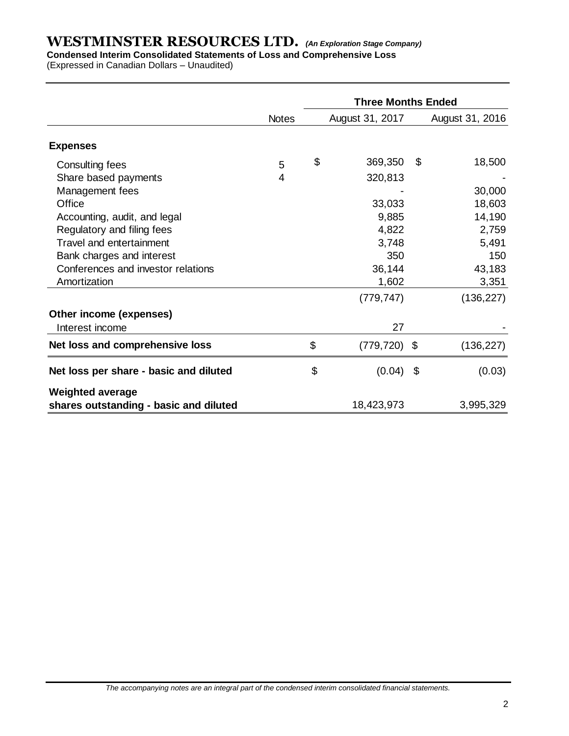**Condensed Interim Consolidated Statements of Loss and Comprehensive Loss**

(Expressed in Canadian Dollars – Unaudited)

|                                        |              | <b>Three Months Ended</b> |                 |    |                 |  |  |  |
|----------------------------------------|--------------|---------------------------|-----------------|----|-----------------|--|--|--|
|                                        | <b>Notes</b> |                           | August 31, 2017 |    | August 31, 2016 |  |  |  |
| <b>Expenses</b>                        |              |                           |                 |    |                 |  |  |  |
| Consulting fees                        | 5            | \$                        | 369,350         | \$ | 18,500          |  |  |  |
| Share based payments                   | 4            |                           | 320,813         |    |                 |  |  |  |
| Management fees                        |              |                           |                 |    | 30,000          |  |  |  |
| Office                                 |              |                           | 33,033          |    | 18,603          |  |  |  |
| Accounting, audit, and legal           |              |                           | 9,885           |    | 14,190          |  |  |  |
| Regulatory and filing fees             |              |                           | 4,822           |    | 2,759           |  |  |  |
| Travel and entertainment               |              |                           | 3,748           |    | 5,491           |  |  |  |
| Bank charges and interest              |              |                           | 350             |    | 150             |  |  |  |
| Conferences and investor relations     |              |                           | 36,144          |    | 43,183          |  |  |  |
| Amortization                           |              |                           | 1,602           |    | 3,351           |  |  |  |
|                                        |              |                           | (779, 747)      |    | (136, 227)      |  |  |  |
| Other income (expenses)                |              |                           |                 |    |                 |  |  |  |
| Interest income                        |              |                           | 27              |    |                 |  |  |  |
| Net loss and comprehensive loss        |              | \$                        | $(779, 720)$ \$ |    | (136, 227)      |  |  |  |
| Net loss per share - basic and diluted |              | \$                        | (0.04)          | \$ | (0.03)          |  |  |  |
| <b>Weighted average</b>                |              |                           |                 |    |                 |  |  |  |
| shares outstanding - basic and diluted |              |                           | 18,423,973      |    | 3,995,329       |  |  |  |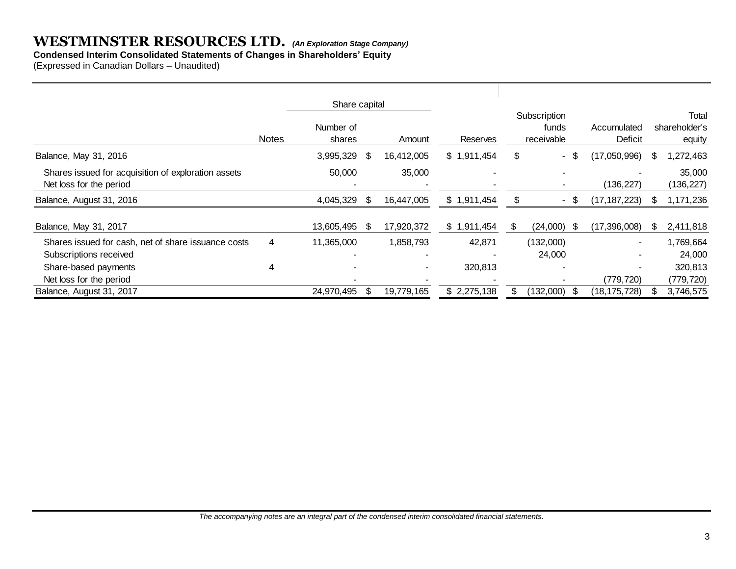### **Condensed Interim Consolidated Statements of Changes in Shareholders' Equity**

(Expressed in Canadian Dollars – Unaudited)

|                                                                                |              | Share capital       |     |                          |             |    |                                     |                        |                                  |                     |
|--------------------------------------------------------------------------------|--------------|---------------------|-----|--------------------------|-------------|----|-------------------------------------|------------------------|----------------------------------|---------------------|
|                                                                                | <b>Notes</b> | Number of<br>shares |     | Amount                   | Reserves    |    | Subscription<br>funds<br>receivable | Accumulated<br>Deficit | Total<br>shareholder's<br>equity |                     |
| Balance, May 31, 2016                                                          |              | 3,995,329           | S   | 16,412,005               | \$1,911,454 | \$ | -S<br>$\blacksquare$                | (17,050,996)           | S                                | 1,272,463           |
| Shares issued for acquisition of exploration assets<br>Net loss for the period |              | 50,000              |     | 35,000                   |             |    | ٠                                   | (136, 227)             |                                  | 35,000<br>(136,227) |
| Balance, August 31, 2016                                                       |              | 4,045,329           | \$. | 16,447,005               | \$1,911,454 | S  | - \$                                | (17, 187, 223)         | \$                               | 1,171,236           |
| Balance, May 31, 2017                                                          |              | 13,605,495          | S.  | 17,920,372               | \$1,911,454 | S  | $(24,000)$ \$                       | (17, 396, 008)         | \$.                              | 2,411,818           |
| Shares issued for cash, net of share issuance costs                            | 4            | 11,365,000          |     | 1,858,793                | 42,871      |    | (132,000)                           |                        |                                  | 1,769,664           |
| Subscriptions received                                                         |              |                     |     |                          |             |    | 24,000                              |                        |                                  | 24,000              |
| Share-based payments                                                           | 4            |                     |     | $\overline{\phantom{a}}$ | 320,813     |    |                                     |                        |                                  | 320,813             |
| Net loss for the period                                                        |              |                     |     |                          |             |    |                                     | (779, 720)             |                                  | (779, 720)          |
| Balance, August 31, 2017                                                       |              | 24,970,495          | S   | 19.779.165               | \$2,275,138 |    | (132,000)                           | (18,175,728)           | \$.                              | 3,746,575           |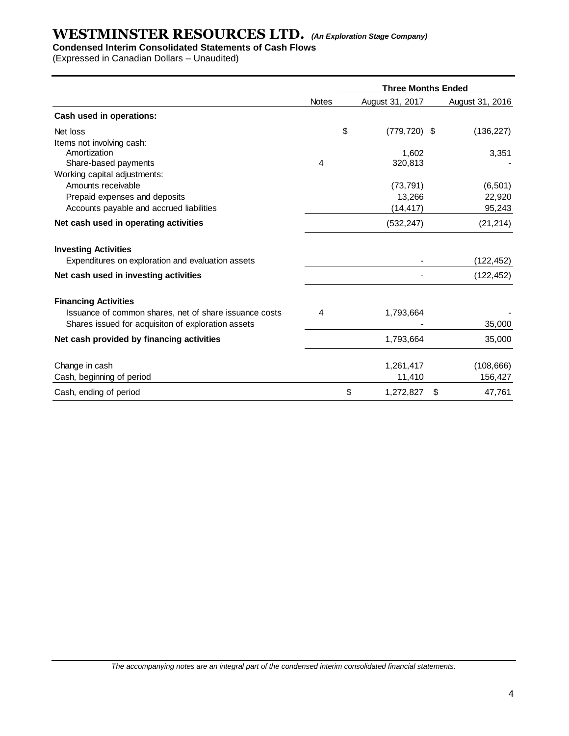### **Condensed Interim Consolidated Statements of Cash Flows**

(Expressed in Canadian Dollars – Unaudited)

|                                                                                                                                             |              | <b>Three Months Ended</b> |    |                       |  |  |  |
|---------------------------------------------------------------------------------------------------------------------------------------------|--------------|---------------------------|----|-----------------------|--|--|--|
|                                                                                                                                             | <b>Notes</b> | August 31, 2017           |    | August 31, 2016       |  |  |  |
| Cash used in operations:                                                                                                                    |              |                           |    |                       |  |  |  |
| Net loss                                                                                                                                    |              | \$<br>$(779, 720)$ \$     |    | (136, 227)            |  |  |  |
| Items not involving cash:                                                                                                                   |              |                           |    |                       |  |  |  |
| Amortization                                                                                                                                |              | 1.602                     |    | 3,351                 |  |  |  |
| Share-based payments                                                                                                                        | 4            | 320,813                   |    |                       |  |  |  |
| Working capital adjustments:                                                                                                                |              |                           |    |                       |  |  |  |
| Amounts receivable                                                                                                                          |              | (73, 791)                 |    | (6, 501)              |  |  |  |
| Prepaid expenses and deposits                                                                                                               |              | 13,266                    |    | 22,920                |  |  |  |
| Accounts payable and accrued liabilities                                                                                                    |              | (14, 417)                 |    | 95,243                |  |  |  |
| Net cash used in operating activities                                                                                                       |              | (532, 247)                |    | (21, 214)             |  |  |  |
| <b>Investing Activities</b><br>Expenditures on exploration and evaluation assets                                                            |              |                           |    | (122, 452)            |  |  |  |
| Net cash used in investing activities                                                                                                       |              |                           |    | (122, 452)            |  |  |  |
| <b>Financing Activities</b><br>Issuance of common shares, net of share issuance costs<br>Shares issued for acquisiton of exploration assets | 4            | 1,793,664                 |    | 35,000                |  |  |  |
| Net cash provided by financing activities                                                                                                   |              | 1,793,664                 |    | 35,000                |  |  |  |
| Change in cash<br>Cash, beginning of period                                                                                                 |              | 1,261,417<br>11,410       |    | (108, 666)<br>156,427 |  |  |  |
|                                                                                                                                             |              |                           |    |                       |  |  |  |
| Cash, ending of period                                                                                                                      |              | \$<br>1,272,827           | \$ | 47,761                |  |  |  |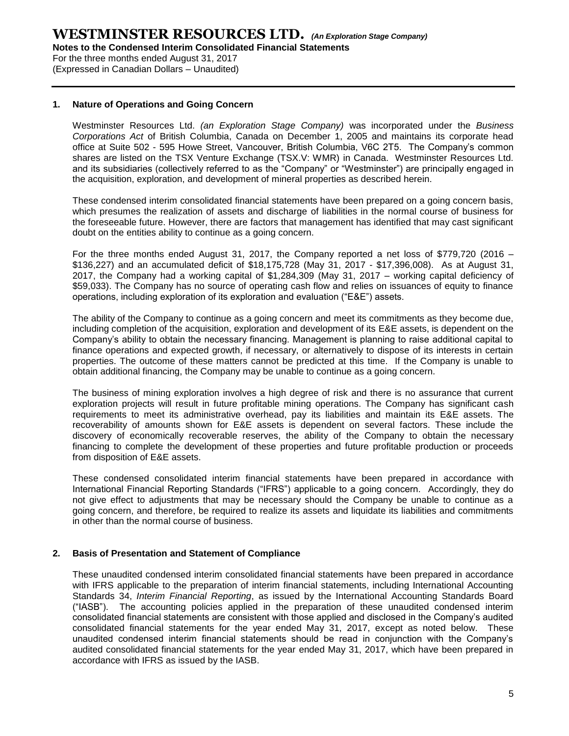**Notes to the Condensed Interim Consolidated Financial Statements**

For the three months ended August 31, 2017 (Expressed in Canadian Dollars – Unaudited)

### **1. Nature of Operations and Going Concern**

Westminster Resources Ltd. *(an Exploration Stage Company)* was incorporated under the *Business Corporations Act* of British Columbia, Canada on December 1, 2005 and maintains its corporate head office at Suite 502 - 595 Howe Street, Vancouver, British Columbia, V6C 2T5. The Company's common shares are listed on the TSX Venture Exchange (TSX.V: WMR) in Canada. Westminster Resources Ltd. and its subsidiaries (collectively referred to as the "Company" or "Westminster") are principally engaged in the acquisition, exploration, and development of mineral properties as described herein.

These condensed interim consolidated financial statements have been prepared on a going concern basis, which presumes the realization of assets and discharge of liabilities in the normal course of business for the foreseeable future. However, there are factors that management has identified that may cast significant doubt on the entities ability to continue as a going concern.

For the three months ended August 31, 2017, the Company reported a net loss of \$779,720 (2016 – \$136,227) and an accumulated deficit of \$18,175,728 (May 31, 2017 - \$17,396,008). As at August 31, 2017, the Company had a working capital of \$1,284,309 (May 31, 2017 – working capital deficiency of \$59,033). The Company has no source of operating cash flow and relies on issuances of equity to finance operations, including exploration of its exploration and evaluation ("E&E") assets.

The ability of the Company to continue as a going concern and meet its commitments as they become due, including completion of the acquisition, exploration and development of its E&E assets, is dependent on the Company's ability to obtain the necessary financing. Management is planning to raise additional capital to finance operations and expected growth, if necessary, or alternatively to dispose of its interests in certain properties. The outcome of these matters cannot be predicted at this time. If the Company is unable to obtain additional financing, the Company may be unable to continue as a going concern.

The business of mining exploration involves a high degree of risk and there is no assurance that current exploration projects will result in future profitable mining operations. The Company has significant cash requirements to meet its administrative overhead, pay its liabilities and maintain its E&E assets. The recoverability of amounts shown for E&E assets is dependent on several factors. These include the discovery of economically recoverable reserves, the ability of the Company to obtain the necessary financing to complete the development of these properties and future profitable production or proceeds from disposition of E&E assets.

These condensed consolidated interim financial statements have been prepared in accordance with International Financial Reporting Standards ("IFRS") applicable to a going concern. Accordingly, they do not give effect to adjustments that may be necessary should the Company be unable to continue as a going concern, and therefore, be required to realize its assets and liquidate its liabilities and commitments in other than the normal course of business.

### **2. Basis of Presentation and Statement of Compliance**

These unaudited condensed interim consolidated financial statements have been prepared in accordance with IFRS applicable to the preparation of interim financial statements, including International Accounting Standards 34, *Interim Financial Reporting*, as issued by the International Accounting Standards Board ("IASB"). The accounting policies applied in the preparation of these unaudited condensed interim consolidated financial statements are consistent with those applied and disclosed in the Company's audited consolidated financial statements for the year ended May 31, 2017, except as noted below. These unaudited condensed interim financial statements should be read in conjunction with the Company's audited consolidated financial statements for the year ended May 31, 2017, which have been prepared in accordance with IFRS as issued by the IASB.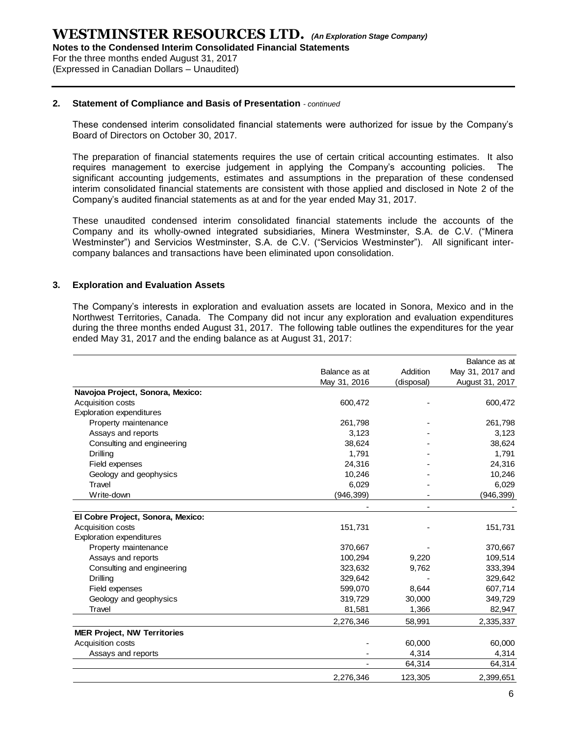**Notes to the Condensed Interim Consolidated Financial Statements**

For the three months ended August 31, 2017 (Expressed in Canadian Dollars – Unaudited)

#### **2. Statement of Compliance and Basis of Presentation** *- continued*

These condensed interim consolidated financial statements were authorized for issue by the Company's Board of Directors on October 30, 2017.

The preparation of financial statements requires the use of certain critical accounting estimates. It also requires management to exercise judgement in applying the Company's accounting policies. The significant accounting judgements, estimates and assumptions in the preparation of these condensed interim consolidated financial statements are consistent with those applied and disclosed in Note 2 of the Company's audited financial statements as at and for the year ended May 31, 2017.

These unaudited condensed interim consolidated financial statements include the accounts of the Company and its wholly-owned integrated subsidiaries, Minera Westminster, S.A. de C.V. ("Minera Westminster") and Servicios Westminster, S.A. de C.V. ("Servicios Westminster"). All significant intercompany balances and transactions have been eliminated upon consolidation.

### **3. Exploration and Evaluation Assets**

The Company's interests in exploration and evaluation assets are located in Sonora, Mexico and in the Northwest Territories, Canada. The Company did not incur any exploration and evaluation expenditures during the three months ended August 31, 2017. The following table outlines the expenditures for the year ended May 31, 2017 and the ending balance as at August 31, 2017:

|                                    |               |            | Balance as at    |
|------------------------------------|---------------|------------|------------------|
|                                    | Balance as at | Addition   | May 31, 2017 and |
|                                    | May 31, 2016  | (disposal) | August 31, 2017  |
| Navojoa Project, Sonora, Mexico:   |               |            |                  |
| Acquisition costs                  | 600,472       |            | 600,472          |
| <b>Exploration expenditures</b>    |               |            |                  |
| Property maintenance               | 261,798       |            | 261,798          |
| Assays and reports                 | 3,123         |            | 3,123            |
| Consulting and engineering         | 38,624        |            | 38,624           |
| <b>Drilling</b>                    | 1,791         |            | 1,791            |
| Field expenses                     | 24,316        |            | 24,316           |
| Geology and geophysics             | 10,246        |            | 10,246           |
| Travel                             | 6,029         |            | 6,029            |
| Write-down                         | (946,399)     |            | (946, 399)       |
|                                    |               |            |                  |
| El Cobre Project, Sonora, Mexico:  |               |            |                  |
| Acquisition costs                  | 151,731       |            | 151,731          |
| <b>Exploration expenditures</b>    |               |            |                  |
| Property maintenance               | 370,667       |            | 370,667          |
| Assays and reports                 | 100,294       | 9,220      | 109,514          |
| Consulting and engineering         | 323,632       | 9,762      | 333,394          |
| <b>Drilling</b>                    | 329,642       |            | 329,642          |
| Field expenses                     | 599,070       | 8,644      | 607,714          |
| Geology and geophysics             | 319,729       | 30,000     | 349,729          |
| Travel                             | 81,581        | 1,366      | 82,947           |
|                                    | 2,276,346     | 58,991     | 2,335,337        |
| <b>MER Project, NW Territories</b> |               |            |                  |
| Acquisition costs                  |               | 60,000     | 60,000           |
| Assays and reports                 |               | 4,314      | 4,314            |
|                                    |               | 64,314     | 64,314           |
|                                    | 2,276,346     | 123,305    | 2,399,651        |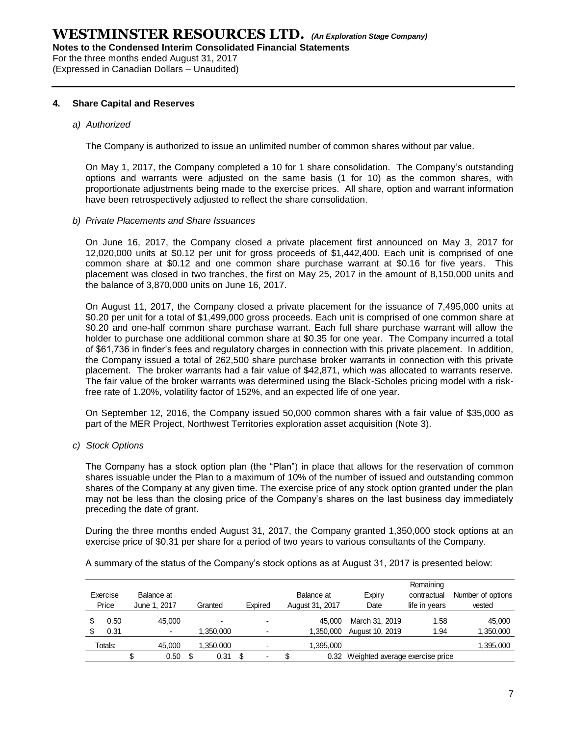**Notes to the Condensed Interim Consolidated Financial Statements**

For the three months ended August 31, 2017

(Expressed in Canadian Dollars – Unaudited)

### **4. Share Capital and Reserves**

### *a) Authorized*

The Company is authorized to issue an unlimited number of common shares without par value.

On May 1, 2017, the Company completed a 10 for 1 share consolidation. The Company's outstanding options and warrants were adjusted on the same basis (1 for 10) as the common shares, with proportionate adjustments being made to the exercise prices. All share, option and warrant information have been retrospectively adjusted to reflect the share consolidation.

### *b) Private Placements and Share Issuances*

On June 16, 2017, the Company closed a private placement first announced on May 3, 2017 for 12,020,000 units at \$0.12 per unit for gross proceeds of \$1,442,400. Each unit is comprised of one common share at \$0.12 and one common share purchase warrant at \$0.16 for five years. This placement was closed in two tranches, the first on May 25, 2017 in the amount of 8,150,000 units and the balance of 3,870,000 units on June 16, 2017.

On August 11, 2017, the Company closed a private placement for the issuance of 7,495,000 units at \$0.20 per unit for a total of \$1,499,000 gross proceeds. Each unit is comprised of one common share at \$0.20 and one-half common share purchase warrant. Each full share purchase warrant will allow the holder to purchase one additional common share at \$0.35 for one year. The Company incurred a total of \$61,736 in finder's fees and regulatory charges in connection with this private placement. In addition, the Company issued a total of 262,500 share purchase broker warrants in connection with this private placement. The broker warrants had a fair value of \$42,871, which was allocated to warrants reserve. The fair value of the broker warrants was determined using the Black-Scholes pricing model with a riskfree rate of 1.20%, volatility factor of 152%, and an expected life of one year.

On September 12, 2016, the Company issued 50,000 common shares with a fair value of \$35,000 as part of the MER Project, Northwest Territories exploration asset acquisition (Note 3).

*c) Stock Options*

The Company has a stock option plan (the "Plan") in place that allows for the reservation of common shares issuable under the Plan to a maximum of 10% of the number of issued and outstanding common shares of the Company at any given time. The exercise price of any stock option granted under the plan may not be less than the closing price of the Company's shares on the last business day immediately preceding the date of grant.

During the three months ended August 31, 2017, the Company granted 1,350,000 stock options at an exercise price of \$0.31 per share for a period of two years to various consultants of the Company.

A summary of the status of the Company's stock options as at August 31, 2017 is presented below:

| Balance at<br>Exercise<br>Price<br>June 1, 2017<br>Granted |  | Expired | Balance at<br>August 31, 2017 |                          | Expiry<br>Date | Remaining<br>contractual<br>life in vears | Number of options<br>vested |                                      |      |           |
|------------------------------------------------------------|--|---------|-------------------------------|--------------------------|----------------|-------------------------------------------|-----------------------------|--------------------------------------|------|-----------|
| 0.50                                                       |  | 45.000  |                               | $\overline{\phantom{0}}$ |                |                                           | 45.000                      | March 31, 2019                       | 1.58 | 45.000    |
| 0.31                                                       |  |         |                               | .350.000                 |                |                                           | 1.350.000                   | August 10, 2019                      | 1.94 | 1,350,000 |
| Totals:                                                    |  | 45,000  |                               | ,350,000                 |                |                                           | 1,395,000                   |                                      |      | 1,395,000 |
|                                                            |  | 0.50    | S                             | 0.31                     |                |                                           |                             | 0.32 Weighted average exercise price |      |           |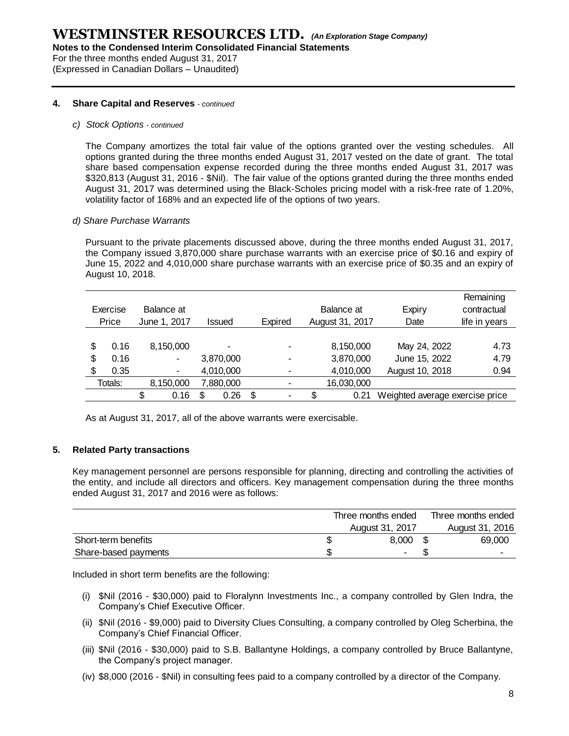**Notes to the Condensed Interim Consolidated Financial Statements**

For the three months ended August 31, 2017 (Expressed in Canadian Dollars – Unaudited)

#### **4. Share Capital and Reserves** *- continued*

#### *c) Stock Options - continued*

The Company amortizes the total fair value of the options granted over the vesting schedules. All options granted during the three months ended August 31, 2017 vested on the date of grant. The total share based compensation expense recorded during the three months ended August 31, 2017 was \$320,813 (August 31, 2016 - \$Nil). The fair value of the options granted during the three months ended August 31, 2017 was determined using the Black-Scholes pricing model with a risk-free rate of 1.20%, volatility factor of 168% and an expected life of the options of two years.

#### *d) Share Purchase Warrants*

Pursuant to the private placements discussed above, during the three months ended August 31, 2017, the Company issued 3,870,000 share purchase warrants with an exercise price of \$0.16 and expiry of June 15, 2022 and 4,010,000 share purchase warrants with an exercise price of \$0.35 and an expiry of August 10, 2018.

| Exercise<br>Price |         | Balance at<br>June 1, 2017 |           | Issued | Expired   |                          | Balance at<br>August 31, 2017 | Expiry<br>Date | Remaining<br>contractual<br>life in years |  |      |
|-------------------|---------|----------------------------|-----------|--------|-----------|--------------------------|-------------------------------|----------------|-------------------------------------------|--|------|
|                   |         |                            |           |        |           |                          |                               |                |                                           |  |      |
| \$                | 0.16    |                            | 8,150,000 |        |           | $\overline{\phantom{0}}$ |                               | 8,150,000      | May 24, 2022                              |  | 4.73 |
| \$                | 0.16    |                            | ۰         |        | 3,870,000 | $\overline{\phantom{0}}$ |                               | 3,870,000      | June 15, 2022                             |  | 4.79 |
| \$                | 0.35    |                            | ۰         |        | 4,010,000 | ۰                        |                               | 4,010,000      | August 10, 2018                           |  | 0.94 |
|                   | Totals: |                            | 8,150,000 |        | 7,880,000 |                          |                               | 16,030,000     |                                           |  |      |
|                   |         | S                          | 0.16      | S      | 0.26      | \$<br>$\blacksquare$     |                               | 0.21           | Weighted average exercise price           |  |      |

As at August 31, 2017, all of the above warrants were exercisable.

### **5. Related Party transactions**

Key management personnel are persons responsible for planning, directing and controlling the activities of the entity, and include all directors and officers. Key management compensation during the three months ended August 31, 2017 and 2016 were as follows:

|                      | Three months ended | Three months ended       |
|----------------------|--------------------|--------------------------|
|                      | August 31, 2017    | August 31, 2016          |
| Short-term benefits  | 8.000              | 69,000                   |
| Share-based payments |                    | $\overline{\phantom{0}}$ |
|                      |                    |                          |

Included in short term benefits are the following:

- (i) \$Nil (2016 \$30,000) paid to Floralynn Investments Inc., a company controlled by Glen Indra, the Company's Chief Executive Officer.
- (ii) \$Nil (2016 \$9,000) paid to Diversity Clues Consulting, a company controlled by Oleg Scherbina, the Company's Chief Financial Officer.
- (iii) \$Nil (2016 \$30,000) paid to S.B. Ballantyne Holdings, a company controlled by Bruce Ballantyne, the Company's project manager.
- (iv) \$8,000 (2016 \$Nil) in consulting fees paid to a company controlled by a director of the Company.